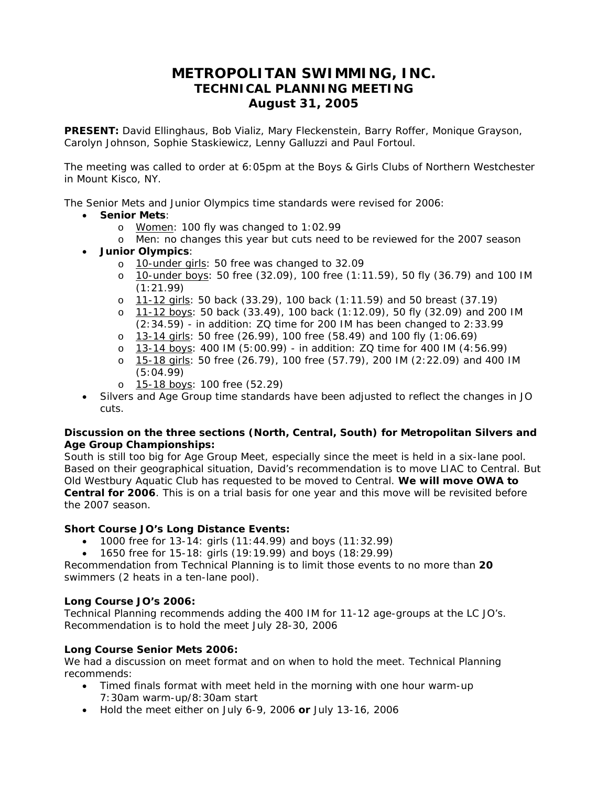# **METROPOLITAN SWIMMING, INC. TECHNICAL PLANNING MEETING August 31, 2005**

**PRESENT:** David Ellinghaus, Bob Vializ, Mary Fleckenstein, Barry Roffer, Monique Grayson, Carolyn Johnson, Sophie Staskiewicz, Lenny Galluzzi and Paul Fortoul.

The meeting was called to order at 6:05pm at the Boys & Girls Clubs of Northern Westchester in Mount Kisco, NY.

The Senior Mets and Junior Olympics time standards were revised for 2006:

- **Senior Mets**:
	- o Women: 100 fly was changed to 1:02.99
	- o Men: no changes this year but cuts need to be reviewed for the 2007 season
- **Junior Olympics**:
	- o 10-under girls: 50 free was changed to 32.09
	- o 10-under boys: 50 free (32.09), 100 free (1:11.59), 50 fly (36.79) and 100 IM (1:21.99)
	- o 11-12 girls: 50 back (33.29), 100 back (1:11.59) and 50 breast (37.19)
	- o 11-12 boys: 50 back (33.49), 100 back (1:12.09), 50 fly (32.09) and 200 IM (2:34.59) - in addition: ZQ time for 200 IM has been changed to 2:33.99
	- o 13-14 girls: 50 free (26.99), 100 free (58.49) and 100 fly (1:06.69)
	- o 13-14 boys: 400 IM (5:00.99) in addition: ZQ time for 400 IM (4:56.99)
	- o 15-18 girls: 50 free (26.79), 100 free (57.79), 200 IM (2:22.09) and 400 IM (5:04.99)
	- o 15-18 boys: 100 free (52.29)
- Silvers and Age Group time standards have been adjusted to reflect the changes in JO cuts.

#### **Discussion on the three sections (North, Central, South) for Metropolitan Silvers and Age Group Championships:**

South is still too big for Age Group Meet, especially since the meet is held in a six-lane pool. Based on their geographical situation, David's recommendation is to move LIAC to Central. But Old Westbury Aquatic Club has requested to be moved to Central. **We will move OWA to Central for 2006**. This is on a trial basis for one year and this move will be revisited before the 2007 season.

### **Short Course JO's Long Distance Events:**

- 1000 free for 13-14: girls  $(11:44.99)$  and boys  $(11:32.99)$
- 1650 free for 15-18: girls (19:19.99) and boys (18:29.99)

Recommendation from Technical Planning is to limit those events to no more than **20** swimmers (2 heats in a ten-lane pool).

#### **Long Course JO's 2006:**

Technical Planning recommends adding the 400 IM for 11-12 age-groups at the LC JO's. Recommendation is to hold the meet July 28-30, 2006

### **Long Course Senior Mets 2006:**

We had a discussion on meet format and on when to hold the meet. Technical Planning recommends:

- Timed finals format with meet held in the morning with one hour warm-up 7:30am warm-up/8:30am start
- Hold the meet either on July 6-9, 2006 **or** July 13-16, 2006